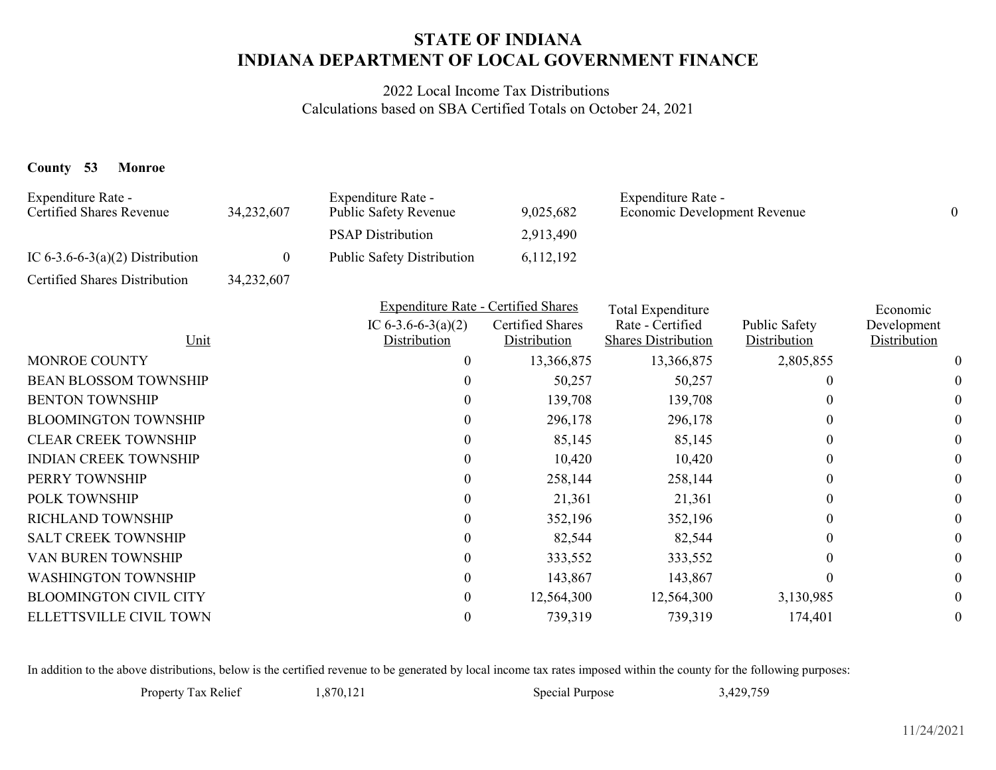## **INDIANA DEPARTMENT OF LOCAL GOVERNMENT FINANCESTATE OF INDIANA**

2022 Local Income Tax Distributions Calculations based on SBA Certified Totals on October 24, 2021

## **County 53 Monroe**

| Expenditure Rate -<br><b>Certified Shares Revenue</b> | 34,232,607 | Expenditure Rate -<br>Public Safety Revenue | 9,025,682                        | Expenditure Rate -<br>Economic Development Revenue |                               | $\theta$                    |
|-------------------------------------------------------|------------|---------------------------------------------|----------------------------------|----------------------------------------------------|-------------------------------|-----------------------------|
|                                                       |            | <b>PSAP Distribution</b>                    | 2,913,490                        |                                                    |                               |                             |
| IC $6-3.6-6-3(a)(2)$ Distribution                     | 0          | <b>Public Safety Distribution</b>           | 6,112,192                        |                                                    |                               |                             |
| Certified Shares Distribution                         | 34,232,607 |                                             |                                  |                                                    |                               |                             |
|                                                       |            | <b>Expenditure Rate - Certified Shares</b>  |                                  | Total Expenditure                                  | Economic                      |                             |
| Unit                                                  |            | IC $6-3.6-6-3(a)(2)$<br>Distribution        | Certified Shares<br>Distribution | Rate - Certified<br><b>Shares Distribution</b>     | Public Safety<br>Distribution | Development<br>Distribution |
| <b>MONROE COUNTY</b>                                  |            | $\boldsymbol{0}$                            | 13,366,875                       | 13,366,875                                         | 2,805,855                     |                             |
| <b>BEAN BLOSSOM TOWNSHIP</b>                          |            |                                             | 50,257                           | 50,257                                             | $\Omega$                      | $\theta$                    |
| <b>BENTON TOWNSHIP</b>                                |            | 0                                           | 139,708                          | 139,708                                            | 0                             | 0                           |
| <b>BLOOMINGTON TOWNSHIP</b>                           |            | 0                                           | 296,178                          | 296,178                                            | $\Omega$                      | $\theta$                    |
| <b>CLEAR CREEK TOWNSHIP</b>                           |            | 0                                           | 85,145                           | 85,145                                             | $\Omega$                      | 0                           |
| <b>INDIAN CREEK TOWNSHIP</b>                          |            | 0                                           | 10,420                           | 10,420                                             | $\theta$                      | 0                           |
| PERRY TOWNSHIP                                        |            | 0                                           | 258,144                          | 258,144                                            | $\theta$                      | 0                           |
| POLK TOWNSHIP                                         |            | 0                                           | 21,361                           | 21,361                                             | $\Omega$                      | 0                           |
| RICHLAND TOWNSHIP                                     |            | 0                                           | 352,196                          | 352,196                                            | $\theta$                      | $\theta$                    |
| <b>SALT CREEK TOWNSHIP</b>                            |            | $\theta$                                    | 82,544                           | 82,544                                             | 0                             | 0                           |
| VAN BUREN TOWNSHIP                                    |            | 0                                           | 333,552                          | 333,552                                            | 0                             | 0                           |
| <b>WASHINGTON TOWNSHIP</b>                            |            | 0                                           | 143,867                          | 143,867                                            | 0                             | $\theta$                    |
| <b>BLOOMINGTON CIVIL CITY</b>                         |            | 0                                           | 12,564,300                       | 12,564,300                                         | 3,130,985                     | $\boldsymbol{0}$            |
| ELLETTSVILLE CIVIL TOWN                               |            | 0                                           | 739,319                          | 739,319                                            | 174,401                       | 0                           |
|                                                       |            |                                             |                                  |                                                    |                               |                             |

In addition to the above distributions, below is the certified revenue to be generated by local income tax rates imposed within the county for the following purposes: